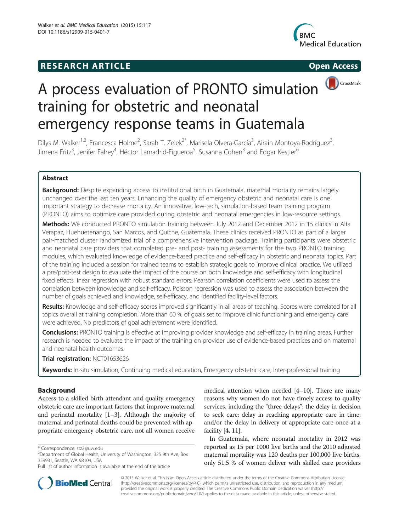# **RESEARCH ARTICLE Example 2014 12:30 The SEAR CHA RESEARCH ARTICLE**



CrossMark

# A process evaluation of PRONTO simulation training for obstetric and neonatal emergency response teams in Guatemala

Dilys M. Walker<sup>1,2</sup>, Francesca Holme<sup>2</sup>, Sarah T. Zelek<sup>2\*</sup>, Marisela Olvera-García<sup>3</sup>, Airaín Montoya-Rodríguez<sup>3</sup> , Jimena Fritz $^3$ , Jenifer Fahey $^4$ , Héctor Lamadrid-Figueroa $^5$ , Susanna Cohen $^3$  and Edgar Kestler $^6$ 

# Abstract

Background: Despite expanding access to institutional birth in Guatemala, maternal mortality remains largely unchanged over the last ten years. Enhancing the quality of emergency obstetric and neonatal care is one important strategy to decrease mortality. An innovative, low-tech, simulation-based team training program (PRONTO) aims to optimize care provided during obstetric and neonatal emergencies in low-resource settings.

Methods: We conducted PRONTO simulation training between July 2012 and December 2012 in 15 clinics in Alta Verapaz, Huehuetenango, San Marcos, and Quiche, Guatemala. These clinics received PRONTO as part of a larger pair-matched cluster randomized trial of a comprehensive intervention package. Training participants were obstetric and neonatal care providers that completed pre- and post- training assessments for the two PRONTO training modules, which evaluated knowledge of evidence-based practice and self-efficacy in obstetric and neonatal topics. Part of the training included a session for trained teams to establish strategic goals to improve clinical practice. We utilized a pre/post-test design to evaluate the impact of the course on both knowledge and self-efficacy with longitudinal fixed effects linear regression with robust standard errors. Pearson correlation coefficients were used to assess the correlation between knowledge and self-efficacy. Poisson regression was used to assess the association between the number of goals achieved and knowledge, self-efficacy, and identified facility-level factors.

Results: Knowledge and self-efficacy scores improved significantly in all areas of teaching. Scores were correlated for all topics overall at training completion. More than 60 % of goals set to improve clinic functioning and emergency care were achieved. No predictors of goal achievement were identified.

**Conclusions:** PRONTO training is effective at improving provider knowledge and self-efficacy in training areas. Further research is needed to evaluate the impact of the training on provider use of evidence-based practices and on maternal and neonatal health outcomes.

Trial registration: [NCT01653626](http://www.clinicaltrials.gov/NCT01653626)

Keywords: In-situ simulation, Continuing medical education, Emergency obstetric care, Inter-professional training

# Background

Access to a skilled birth attendant and quality emergency obstetric care are important factors that improve maternal and perinatal mortality [[1](#page-6-0)–[3](#page-6-0)]. Although the majority of maternal and perinatal deaths could be prevented with appropriate emergency obstetric care, not all women receive

medical attention when needed [\[4](#page-6-0)–[10](#page-6-0)]. There are many reasons why women do not have timely access to quality services, including the "three delays": the delay in decision to seek care; delay in reaching appropriate care in time; and/or the delay in delivery of appropriate care once at a facility [[4](#page-6-0), [11\]](#page-6-0).

In Guatemala, where neonatal mortality in 2012 was reported as 15 per 1000 live births and the 2010 adjusted maternal mortality was 120 deaths per 100,000 live births, only 51.5 % of women deliver with skilled care providers



© 2015 Walker et al. This is an Open Access article distributed under the terms of the Creative Commons Attribution License [\(http://creativecommons.org/licenses/by/4.0\)](http://creativecommons.org/licenses/by/4.0), which permits unrestricted use, distribution, and reproduction in any medium, provided the original work is properly credited. The Creative Commons Public Domain Dedication waiver [\(http://](http://creativecommons.org/publicdomain/zero/1.0/) [creativecommons.org/publicdomain/zero/1.0/\)](http://creativecommons.org/publicdomain/zero/1.0/) applies to the data made available in this article, unless otherwise stated.

<sup>\*</sup> Correspondence: [stz2@uw.edu](mailto:stz2@uw.edu) <sup>2</sup>

 $2$ Department of Global Health, University of Washington, 325 9th Ave, Box 359931, Seattle, WA 98104, USA

Full list of author information is available at the end of the article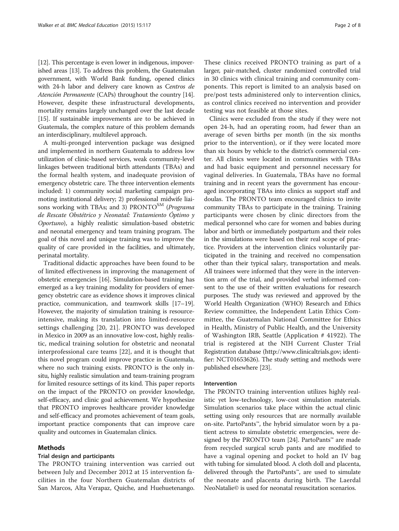[[12](#page-6-0)]. This percentage is even lower in indigenous, impoverished areas [\[13\]](#page-6-0). To address this problem, the Guatemalan government, with World Bank funding, opened clinics with 24-h labor and delivery care known as Centros de Atención Permanente (CAPs) throughout the country [\[14](#page-6-0)]. However, despite these infrastructural developments, mortality remains largely unchanged over the last decade [[15](#page-6-0)]. If sustainable improvements are to be achieved in Guatemala, the complex nature of this problem demands an interdisciplinary, multilevel approach.

A multi-pronged intervention package was designed and implemented in northern Guatemala to address low utilization of clinic-based services, weak community-level linkages between traditional birth attendants (TBAs) and the formal health system, and inadequate provision of emergency obstetric care. The three intervention elements included: 1) community social marketing campaign promoting institutional delivery; 2) professional midwife liaisons working with TBAs; and 3) PRONTO<sup>SM</sup> (Programa de Rescate Obstétrico y Neonatal: Tratamiento Óptimo y Oportuno), a highly realistic simulation-based obstetric and neonatal emergency and team training program. The goal of this novel and unique training was to improve the quality of care provided in the facilities, and ultimately, perinatal mortality.

Traditional didactic approaches have been found to be of limited effectiveness in improving the management of obstetric emergencies [[16\]](#page-6-0). Simulation-based training has emerged as a key training modality for providers of emergency obstetric care as evidence shows it improves clinical practice, communication, and teamwork skills [\[17](#page-6-0)–[19](#page-6-0)]. However, the majority of simulation training is resourceintensive, making its translation into limited-resource settings challenging [\[20](#page-6-0), [21\]](#page-6-0). PRONTO was developed in Mexico in 2009 as an innovative low-cost, highly realistic, medical training solution for obstetric and neonatal interprofessional care teams [\[22](#page-6-0)], and it is thought that this novel program could improve practice in Guatemala, where no such training exists. PRONTO is the only insitu, highly realistic simulation and team-training program for limited resource settings of its kind. This paper reports on the impact of the PRONTO on provider knowledge, self-efficacy, and clinic goal achievement. We hypothesize that PRONTO improves healthcare provider knowledge and self-efficacy and promotes achievement of team goals, important practice components that can improve care quality and outcomes in Guatemalan clinics.

## Methods

#### Trial design and participants

The PRONTO training intervention was carried out between July and December 2012 at 15 intervention facilities in the four Northern Guatemalan districts of San Marcos, Alta Verapaz, Quiche, and Huehuetenango.

These clinics received PRONTO training as part of a larger, pair-matched, cluster randomized controlled trial in 30 clinics with clinical training and community components. This report is limited to an analysis based on pre/post tests administered only to intervention clinics, as control clinics received no intervention and provider testing was not feasible at those sites.

Clinics were excluded from the study if they were not open 24-h, had an operating room, had fewer than an average of seven births per month (in the six months prior to the intervention), or if they were located more than six hours by vehicle to the district's commercial center. All clinics were located in communities with TBAs and had basic equipment and personnel necessary for vaginal deliveries. In Guatemala, TBAs have no formal training and in recent years the government has encouraged incorporating TBAs into clinics as support staff and doulas. The PRONTO team encouraged clinics to invite community TBAs to participate in the training. Training participants were chosen by clinic directors from the medical personnel who care for women and babies during labor and birth or immediately postpartum and their roles in the simulations were based on their real scope of practice. Providers at the intervention clinics voluntarily participated in the training and received no compensation other than their typical salary, transportation and meals. All trainees were informed that they were in the intervention arm of the trial, and provided verbal informed consent to the use of their written evaluations for research purposes. The study was reviewed and approved by the World Health Organization (WHO) Research and Ethics Review committee, the Independent Latin Ethics Committee, the Guatemalan National Committee for Ethics in Health, Ministry of Public Health, and the University of Washington IRB, Seattle (Application # 41922). The trial is registered at the NIH Current Cluster Trial Registration database (<http://www.clinicaltrials.gov>; identifier: NCT01653626). The study setting and methods were published elsewhere [[23](#page-6-0)].

#### Intervention

The PRONTO training intervention utilizes highly realistic yet low-technology, low-cost simulation materials. Simulation scenarios take place within the actual clinic setting using only resources that are normally available on-site. PartoPants™, the hybrid simulator worn by a patient actress to simulate obstetric emergencies, were de-signed by the PRONTO team [\[24\]](#page-6-0). PartoPants<sup>™</sup> are made from recycled surgical scrub pants and are modified to have a vaginal opening and pocket to hold an IV bag with tubing for simulated blood. A cloth doll and placenta, delivered through the PartoPants™, are used to simulate the neonate and placenta during birth. The Laerdal NeoNatalie© is used for neonatal resuscitation scenarios.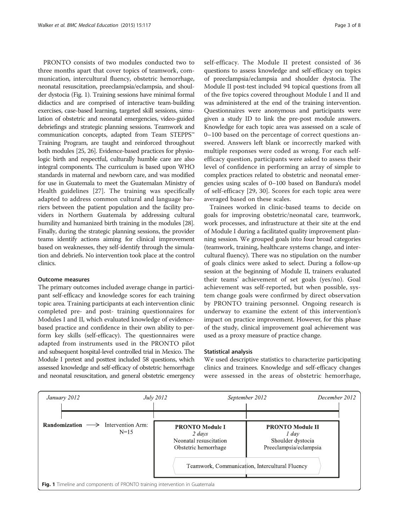PRONTO consists of two modules conducted two to three months apart that cover topics of teamwork, communication, intercultural fluency, obstetric hemorrhage, neonatal resuscitation, preeclampsia/eclampsia, and shoulder dystocia (Fig. 1). Training sessions have minimal formal didactics and are comprised of interactive team-building exercises, case-based learning, targeted skill sessions, simulation of obstetric and neonatal emergencies, video-guided debriefings and strategic planning sessions. Teamwork and communication concepts, adapted from Team STEPPS™ Training Program, are taught and reinforced throughout both modules [\[25, 26](#page-7-0)]. Evidence-based practices for physiologic birth and respectful, culturally humble care are also integral components. The curriculum is based upon WHO standards in maternal and newborn care, and was modified for use in Guatemala to meet the Guatemalan Ministry of Health guidelines [[27\]](#page-7-0). The training was specifically adapted to address common cultural and language barriers between the patient population and the facility providers in Northern Guatemala by addressing cultural humility and humanized birth training in the modules [[28](#page-7-0)]. Finally, during the strategic planning sessions, the provider teams identify actions aiming for clinical improvement based on weaknesses, they self-identify through the simulation and debriefs. No intervention took place at the control clinics.

#### Outcome measures

The primary outcomes included average change in participant self-efficacy and knowledge scores for each training topic area. Training participants at each intervention clinic completed pre- and post- training questionnaires for Modules I and II, which evaluated knowledge of evidencebased practice and confidence in their own ability to perform key skills (self-efficacy). The questionnaires were adapted from instruments used in the PRONTO pilot and subsequent hospital-level controlled trial in Mexico. The Module I pretest and posttest included 58 questions, which assessed knowledge and self-efficacy of obstetric hemorrhage and neonatal resuscitation, and general obstetric emergency self-efficacy. The Module II pretest consisted of 36 questions to assess knowledge and self-efficacy on topics of preeclampsia/eclampsia and shoulder dystocia. The Module II post-test included 94 topical questions from all of the five topics covered throughout Module I and II and was administered at the end of the training intervention. Questionnaires were anonymous and participants were given a study ID to link the pre-post module answers. Knowledge for each topic area was assessed on a scale of 0–100 based on the percentage of correct questions answered. Answers left blank or incorrectly marked with multiple responses were coded as wrong. For each selfefficacy question, participants were asked to assess their level of confidence in performing an array of simple to complex practices related to obstetric and neonatal emergencies using scales of 0–100 based on Bandura's model of self-efficacy [[29, 30](#page-7-0)]. Scores for each topic area were averaged based on these scales.

Trainees worked in clinic-based teams to decide on goals for improving obstetric/neonatal care, teamwork, work processes, and infrastructure at their site at the end of Module I during a facilitated quality improvement planning session. We grouped goals into four broad categories (teamwork, training, healthcare systems change, and intercultural fluency). There was no stipulation on the number of goals clinics were asked to select. During a follow-up session at the beginning of Module II, trainers evaluated their teams' achievement of set goals (yes/no). Goal achievement was self-reported, but when possible, system change goals were confirmed by direct observation by PRONTO training personnel. Ongoing research is underway to examine the extent of this intervention's impact on practice improvement. However, for this phase of the study, clinical improvement goal achievement was used as a proxy measure of practice change.

#### Statistical analysis

We used descriptive statistics to characterize participating clinics and trainees. Knowledge and self-efficacy changes were assessed in the areas of obstetric hemorrhage,

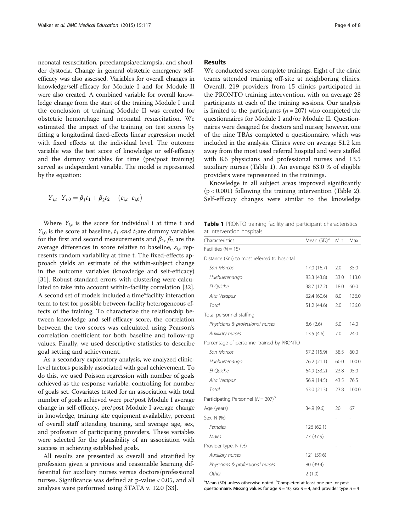neonatal resuscitation, preeclampsia/eclampsia, and shoulder dystocia. Change in general obstetric emergency selfefficacy was also assessed. Variables for overall changes in knowledge/self-efficacy for Module I and for Module II were also created. A combined variable for overall knowledge change from the start of the training Module I until the conclusion of training Module II was created for obstetric hemorrhage and neonatal resuscitation. We estimated the impact of the training on test scores by fitting a longitudinal fixed-effects linear regression model with fixed effects at the individual level. The outcome variable was the test score of knowledge or self-efficacy and the dummy variables for time (pre/post training) served as independent variable. The model is represented by the equation:

$$
Y_{i,t}-Y_{i,0}=\beta_1t_1+\beta_2t_2+(\varepsilon_{i,t}-\varepsilon_{i,0})
$$

Where  $Y_{i,t}$  is the score for individual i at time t and  $Y_{i,0}$  is the score at baseline,  $t_1$  *and t*<sub>2</sub>are dummy variables for the first and second measurements and  $\beta_1$ ,  $\beta_2$  are the average differences in score relative to baseline,  $\varepsilon_{i,t}$  represents random variability at time t. The fixed-effects approach yields an estimate of the within-subject change in the outcome variables (knowledge and self-efficacy) [[31\]](#page-7-0). Robust standard errors with clustering were calculated to take into account within-facility correlation [\[32](#page-7-0)]. A second set of models included a time\*facility interaction term to test for possible between-facility heterogeneous effects of the training. To characterize the relationship between knowledge and self-efficacy score, the correlation between the two scores was calculated using Pearson's correlation coefficient for both baseline and follow-up values. Finally, we used descriptive statistics to describe goal setting and achievement.

As a secondary exploratory analysis, we analyzed cliniclevel factors possibly associated with goal achievement. To do this, we used Poisson regression with number of goals achieved as the response variable, controlling for number of goals set. Covariates tested for an association with total number of goals achieved were pre/post Module I average change in self-efficacy, pre/post Module I average change in knowledge, training site equipment availability, percent of overall staff attending training, and average age, sex, and profession of participating providers. These variables were selected for the plausibility of an association with success in achieving established goals.

All results are presented as overall and stratified by profession given a previous and reasonable learning differential for auxiliary nurses versus doctors/professional nurses. Significance was defined at p-value < 0.05, and all analyses were performed using STATA v. 12.0 [[33\]](#page-7-0).

#### Results

We conducted seven complete trainings. Eight of the clinic teams attended training off-site at neighboring clinics. Overall, 219 providers from 15 clinics participated in the PRONTO training intervention, with on average 28 participants at each of the training sessions. Our analysis is limited to the participants ( $n = 207$ ) who completed the questionnaires for Module I and/or Module II. Questionnaires were designed for doctors and nurses; however, one of the nine TBAs completed a questionnaire, which was included in the analysis. Clinics were on average 51.2 km away from the most used referral hospital and were staffed with 8.6 physicians and professional nurses and 13.5 auxiliary nurses (Table 1). An average 63.0 % of eligible providers were represented in the trainings.

Knowledge in all subject areas improved significantly (p < 0.001) following the training intervention (Table [2](#page-4-0)). Self-efficacy changes were similar to the knowledge

**Table 1** PRONTO training facility and participant characteristics at intervention hospitals

| Characteristics                                    | Mean (SD) <sup>a</sup> | Min  | Max   |
|----------------------------------------------------|------------------------|------|-------|
| Facilities ( $N = 15$ )                            |                        |      |       |
| Distance (Km) to most referred to hospital         |                        |      |       |
| San Marcos                                         | 17.0(16.7)             | 2.0  | 35.0  |
| Huehuetenango                                      | 83.3 (43.8)            | 33.0 | 113.0 |
| El Quiche                                          | 38.7 (17.2)            | 18.0 | 60.0  |
| Alta Verapaz                                       | 62.4 (60.6)            | 8.0  | 136.0 |
| Total                                              | 51.2 (44.6)            | 2.0  | 136.0 |
| Total personnel staffing                           |                        |      |       |
| Physicians & professional nurses                   | 8.6(2.6)               | 5.0  | 14.0  |
| Auxiliary nurses                                   | 13.5(4.6)              | 7.0  | 24.0  |
| Percentage of personnel trained by PRONTO          |                        |      |       |
| San Marcos                                         | 57.2 (15.9)            | 38.5 | 60.0  |
| Huehuetenango                                      | 76.2 (21.1)            | 60.0 | 100.0 |
| El Quiche                                          | 64.9 (33.2)            | 23.8 | 95.0  |
| Alta Verapaz                                       | 56.9 (14.5)            | 43.5 | 76.5  |
| Total                                              | 63.0 (21.3)            | 23.8 | 100.0 |
| Participating Personnel ( $N = 207$ ) <sup>b</sup> |                        |      |       |
| Age (years)                                        | 34.9 (9.6)             | 20   | 67    |
| Sex, N (%)                                         |                        |      |       |
| Females                                            | 126 (62.1)             |      |       |
| Males                                              | 77 (37.9)              |      |       |
| Provider type, N (%)                               |                        |      |       |
| Auxiliary nurses                                   | 121 (59.6)             |      |       |
| Physicians & professional nurses                   | 80 (39.4)              |      |       |
| Other                                              | 2(1.0)                 |      |       |

<sup>a</sup>Mean (SD) unless otherwise noted. <sup>b</sup>Completed at least one pre- or postquestionnaire. Missing values for age  $n = 10$ , sex  $n = 4$ , and provider type  $n = 4$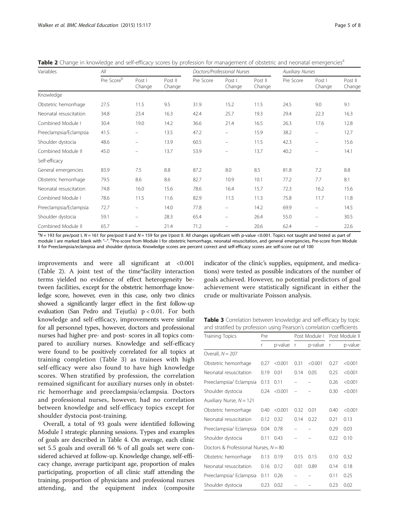| Variables              | All        |                          |                   | Doctors/Professional Nurses |                   |                   | <b>Auxiliary Nurses</b> |                          |                   |
|------------------------|------------|--------------------------|-------------------|-----------------------------|-------------------|-------------------|-------------------------|--------------------------|-------------------|
|                        | Pre Scoreb | Post I<br>Change         | Post II<br>Change | Pre Score                   | Post I<br>Change  | Post II<br>Change | Pre Score               | Post I<br>Change         | Post II<br>Change |
| Knowledge              |            |                          |                   |                             |                   |                   |                         |                          |                   |
| Obstetric hemorrhage   | 27.5       | 11.5                     | 9.5               | 31.9                        | 15.2              | 11.5              | 24.5                    | 9.0                      | 9.1               |
| Neonatal resuscitation | 34.8       | 23.4                     | 16.3              | 42.4                        | 25.7              | 19.3              | 29.4                    | 22.3                     | 16.3              |
| Combined Module I      | 30.4       | 19.0                     | 14.2              | 36.6                        | 21.4              | 16.5              | 26.3                    | 17.6                     | 12.8              |
| Preeclampsia/Eclampsia | 41.5       | -                        | 13.5              | 47.2                        | $\qquad \qquad =$ | 15.9              | 38.2                    | $\overline{\phantom{m}}$ | 12.7              |
| Shoulder dystocia      | 48.6       | $\overline{\phantom{0}}$ | 13.9              | 60.5                        | $\qquad \qquad =$ | 11.5              | 42.3                    | $\overline{\phantom{0}}$ | 15.6              |
| Combined Module II     | 45.0       |                          | 13.7              | 53.9                        |                   | 13.7              | 40.2                    | -                        | 14.1              |
| Self-efficacy          |            |                          |                   |                             |                   |                   |                         |                          |                   |
| General emergencies    | 83.9       | 7.5                      | 8.8               | 87.2                        | 8.0               | 8.5               | 81.8                    | 7.2                      | 8.8               |
| Obstetric hemorrhage   | 79.5       | 8.6                      | 8.6               | 82.7                        | 10.9              | 10.1              | 77.2                    | 7.7                      | 8.1               |
| Neonatal resuscitation | 74.8       | 16.0                     | 15.6              | 78.6                        | 16.4              | 15.7              | 72.3                    | 16.2                     | 15.6              |
| Combined Module I      | 78.6       | 11.5                     | 11.6              | 82.9                        | 11.5              | 11.3              | 75.8                    | 11.7                     | 11.8              |
| Preeclampsia/Eclampsia | 72.7       | $\overline{\phantom{0}}$ | 14.0              | 77.8                        |                   | 14.2              | 69.9                    | $\overline{\phantom{0}}$ | 14.5              |
| Shoulder dystocia      | 59.1       | -                        | 28.3              | 65.4                        |                   | 26.4              | 55.0                    | -                        | 30.5              |
| Combined Module II     | 65.7       |                          | 21.4              | 71.2                        |                   | 20.6              | 62.4                    |                          | 22.6              |

<span id="page-4-0"></span>Table 2 Change in knowledge and self-efficacy scores by profession for management of obstetric and neonatal emergencies<sup>a</sup>

 ${}^{3}$ N = 193 for pre/post I, N = 161 for pre/post II and N = 159 for pre I/post II. All changes significant with p-value <0.001. Topics not taught and tested as part of module I are marked blank with "–". <sup>b</sup>Pre-score from Module I for obstetric hemorrhage, neonatal resuscitation, and general emergencies, Pre-score from Module II for Preeclampsia/eclampsia and shoulder dystocia. Knowledge scores are percent correct and self-efficacy scores are self-score out of 100

improvements and were all significant at <0.001 (Table 2). A joint test of the time\*facility interaction terms yielded no evidence of effect heterogeneity between facilities, except for the obstetric hemorrhage knowledge score, however, even in this case, only two clinics showed a significantly larger effect in the first follow-up evaluation (San Pedro and Tejutla) p < 0.01. For both knowledge and self-efficacy, improvements were similar for all personnel types, however, doctors and professional nurses had higher pre- and post- scores in all topics compared to auxiliary nurses. Knowledge and self-efficacy were found to be positively correlated for all topics at training completion (Table 3) as trainees with high self-efficacy were also found to have high knowledge scores. When stratified by profession, the correlation remained significant for auxiliary nurses only in obstetric hemorrhage and preeclampsia/eclampsia. Doctors and professional nurses, however, had no correlation between knowledge and self-efficacy topics except for shoulder dystocia post-training.

Overall, a total of 93 goals were identified following Module I strategic planning sessions. Types and examples of goals are described in Table [4](#page-5-0). On average, each clinic set 5.5 goals and overall 66 % of all goals set were considered achieved at follow-up. Knowledge change, self-efficacy change, average participant age, proportion of males participating, proportion of all clinic staff attending the training, proportion of physicians and professional nurses attending, and the equipment index (composite indicator of the clinic's supplies, equipment, and medications) were tested as possible indicators of the number of goals achieved. However, no potential predictors of goal achievement were statistically significant in either the crude or multivariate Poisson analysis.

Table 3 Correlation between knowledge and self-efficacy by topic and stratified by profession using Pearson's correlation coefficients

| <b>Training Topics</b>                | Pre  |         | Post Module I |         | Post Module II |         |  |
|---------------------------------------|------|---------|---------------|---------|----------------|---------|--|
|                                       | r    | p-value | r             | p-value | r              | p-value |  |
| Overall, $N = 207$                    |      |         |               |         |                |         |  |
| Obstetric hemorrhage                  | 0.27 | < 0.001 | 0.31          | < 0.001 | 0.27           | < 0.001 |  |
| Neonatal resuscitation                | 0.19 | 0.01    | 0.14          | 0.05    | 0.25           | < 0.001 |  |
| Preeclampsia/ Eclampsia               | 0.13 | 0.11    |               |         | 0.26           | < 0.001 |  |
| Shoulder dystocia                     | 0.24 | < 0.001 |               |         | 0.30           | < 0.001 |  |
| Auxiliary Nurse, $N = 121$            |      |         |               |         |                |         |  |
| Obstetric hemorrhage                  | 0.40 | < 0.001 | 0.32          | 0.01    | 0.40           | < 0.001 |  |
| Neonatal resuscitation                | 0.12 | 0.32    | 0.14          | 0.22    | 0.21           | 0.13    |  |
| Preeclampsia/ Eclampsia               | 0.04 | 0.78    |               |         | 0.29           | 0.03    |  |
| Shoulder dystocia                     | 0.11 | 0.43    |               |         | 0.22           | 0.10    |  |
| Doctors & Professional Nurses, N = 80 |      |         |               |         |                |         |  |
| Obstetric hemorrhage                  | 0.13 | 0.19    | 0.15          | 0.15    | 0.10           | 0.32    |  |
| Neonatal resuscitation                | 0.16 | 0.12    | 0.01          | 0.89    | 0.14           | 0.18    |  |
| Preeclampsia/ Eclampsia               | 0.11 | 0.26    |               |         | 0.11           | 0.25    |  |
| Shoulder dystocia                     | 0.23 | 0.02    |               |         | 0.23           | 0.02    |  |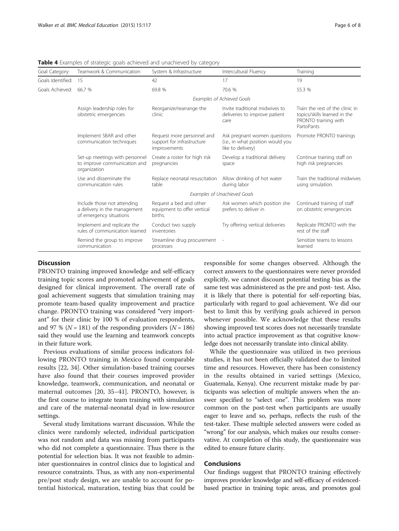| Goal Category:       | Teamwork & Communication                                                               | System & Infrastructure                                                  | Intercultural Fluency                                                                  | Training                                                                                              |  |  |  |  |  |  |
|----------------------|----------------------------------------------------------------------------------------|--------------------------------------------------------------------------|----------------------------------------------------------------------------------------|-------------------------------------------------------------------------------------------------------|--|--|--|--|--|--|
| Goals Identified: 15 |                                                                                        | 42                                                                       | 17                                                                                     | 19                                                                                                    |  |  |  |  |  |  |
| Goals Achieved:      | 66.7 %                                                                                 | 69.8 %                                                                   | 70.6 %                                                                                 | 55.3 %                                                                                                |  |  |  |  |  |  |
|                      | Examples of Achieved Goals                                                             |                                                                          |                                                                                        |                                                                                                       |  |  |  |  |  |  |
|                      | Assign leadership roles for<br>obstetric emergencies                                   | Reorganize/rearrange the<br>clinic                                       | Invite traditional midwives to<br>deliveries to improve patient<br>care                | Train the rest of the clinic in<br>topics/skills learned in the<br>PRONTO training with<br>PartoPants |  |  |  |  |  |  |
|                      | Implement SBAR and other<br>communication techniques                                   | Request more personnel and<br>support for infrastructure<br>improvements | Ask pregnant women questions<br>(i.e., in what position would you<br>like to delivery) | Promote PRONTO trainings                                                                              |  |  |  |  |  |  |
|                      | Set-up meetings with personnel<br>to improve communication and<br>organization         | Create a roster for high risk<br>pregnancies                             | Develop a traditional delivery<br>space                                                | Continue training staff on<br>high risk pregnancies                                                   |  |  |  |  |  |  |
|                      | Use and disseminate the<br>communication rules                                         | Replace neonatal resuscitation<br>table                                  | Allow drinking of hot water<br>during labor                                            | Train the traditional midwives<br>using simulation.                                                   |  |  |  |  |  |  |
|                      | Examples of Unachieved Goals                                                           |                                                                          |                                                                                        |                                                                                                       |  |  |  |  |  |  |
|                      | Include those not attending<br>a delivery in the management<br>of emergency situations | Request a bed and other<br>equipment to offer vertical<br>births.        | Ask women which position she<br>prefers to deliver in                                  | Continued training of staff<br>on obstetric emergencies                                               |  |  |  |  |  |  |
|                      | Implement and replicate the<br>rules of communication learned                          | Conduct two supply<br>inventories                                        | Try offering vertical deliveries                                                       | Replicate PRONTO with the<br>rest of the staff                                                        |  |  |  |  |  |  |
|                      | Remind the group to improve<br>communication                                           | Streamline drug procurement<br>processes                                 |                                                                                        | Sensitize teams to lessons<br>learned                                                                 |  |  |  |  |  |  |

<span id="page-5-0"></span>Table 4 Examples of strategic goals achieved and unachieved by category

#### **Discussion**

PRONTO training improved knowledge and self-efficacy training topic scores and promoted achievement of goals designed for clinical improvement. The overall rate of goal achievement suggests that simulation training may promote team-based quality improvement and practice change. PRONTO training was considered "very important" for their clinic by 100 % of evaluation respondents, and 97 % ( $N = 181$ ) of the responding providers ( $N = 186$ ) said they would use the learning and teamwork concepts in their future work.

Previous evaluations of similar process indicators following PRONTO training in Mexico found comparable results [\[22,](#page-6-0) [34](#page-7-0)]. Other simulation-based training courses have also found that their courses improved provider knowledge, teamwork, communication, and neonatal or maternal outcomes [\[20](#page-6-0), [35](#page-7-0)–[41](#page-7-0)]. PRONTO, however, is the first course to integrate team training with simulation and care of the maternal-neonatal dyad in low-resource settings.

Several study limitations warrant discussion. While the clinics were randomly selected, individual participation was not random and data was missing from participants who did not complete a questionnaire. Thus there is the potential for selection bias. It was not feasible to administer questionnaires in control clinics due to logistical and resource constraints. Thus, as with any non-experimental pre/post study design, we are unable to account for potential historical, maturation, testing bias that could be

responsible for some changes observed. Although the correct answers to the questionnaires were never provided explicitly, we cannot discount potential testing bias as the same test was administered as the pre and post- test. Also, it is likely that there is potential for self-reporting bias, particularly with regard to goal achievement. We did our best to limit this by verifying goals achieved in person whenever possible. We acknowledge that these results showing improved test scores does not necessarily translate into actual practice improvement as that cognitive knowledge does not necessarily translate into clinical ability.

While the questionnaire was utilized in two previous studies, it has not been officially validated due to limited time and resources. However, there has been consistency in the results obtained in varied settings (Mexico, Guatemala, Kenya). One recurrent mistake made by participants was selection of multiple answers when the answer specified to "select one". This problem was more common on the post-test when participants are usually eager to leave and so, perhaps, reflects the rush of the test-taker. These multiple selected answers were coded as "wrong" for our analysis, which makes our results conservative. At completion of this study, the questionnaire was edited to ensure future clarity.

# Conclusions

Our findings suggest that PRONTO training effectively improves provider knowledge and self-efficacy of evidencedbased practice in training topic areas, and promotes goal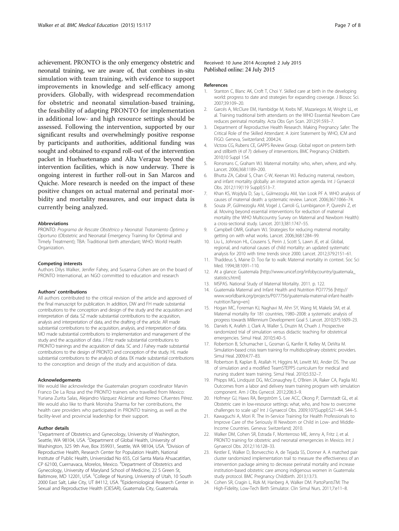<span id="page-6-0"></span>achievement. PRONTO is the only emergency obstetric and neonatal training, we are aware of, that combines in-situ simulation with team training, with evidence to support improvements in knowledge and self-efficacy among providers. Globally, with widespread recommendation for obstetric and neonatal simulation-based training, the feasibility of adapting PRONTO for implementation in additional low- and high resource settings should be assessed. Following the intervention, supported by our significant results and overwhelmingly positive response by participants and authorities, additional funding was sought and obtained to expand roll-out of the intervention packet in Huehuetenango and Alta Verapaz beyond the intervention facilities, which is now underway. There is ongoing interest in further roll-out in San Marcos and Quiche. More research is needed on the impact of these positive changes on actual maternal and perinatal morbidity and mortality measures, and our impact data is currently being analyzed.

#### Abbreviations

PRONTO: Programa de Rescate Obstétrico y Neonatal: Tratamiento Óptimo y Oportuno (Obstetric and Neonatal Emergency Training for Optimal and Timely Treatment); TBA: Traditional birth attendant; WHO: World Health Organization.

#### Competing interests

Authors Dilys Walker, Jenifer Fahey, and Susanna Cohen are on the board of PRONTO International, an NGO committed to education and research

#### Authors' contributions

All authors contributed to the critical revision of the article and approved of the final manuscript for publication. In addition, DW and FH made substantial contributions to the conception and design of the study and the acquisition and interpretation of data. SZ made substantial contributions to the acquisition, analysis and interpretation of data, and the drafting of the article. AR made substantial contributions to the acquisition, analysis, and interpretation of data. MO made substantial contributions to implementation and management of the study and the acquisition of data. J Fritz made substantial contributions to PRONTO trainings and the acquisition of data. SC and J Fahey made substantial contributions to the design of PRONTO and conception of the study. HL made substantial contributions to the analysis of data. EK made substantial contributions to the conception and design of the study and acquisition of data.

#### Acknowledgements

We would like acknowledge the Guatemalan program coordinator Marvin Franco De La Rosa and the PRONTO trainers who travelled from Mexico: Yuriana Zurita Salas, Alejandro Vázquez Alcántar and Romeo Cifuentes Pérez. We would also like to thank Monisha Sharma for her contributions, the health care providers who participated in PRONTO training, as well as the facility-level and provincial leadership for their support.

#### Author details

<sup>1</sup>Department of Obstetrics and Gynecology, University of Washington, Seattle, WA 98104, USA. <sup>2</sup>Department of Global Health, University of Washington, 325 9th Ave, Box 359931, Seattle, WA 98104, USA. <sup>3</sup>Division of Reproductive Health, Research Center for Population Health, National Institute of Public Health, Universidad No 655, Col Santa Maria Ahuacatitlan, CP 62100, Cuernavaca, Morelos, Mexico. <sup>4</sup>Department of Obstetrics and Gynecology, University of Maryland School of Medicine, 22 S Green St, Baltimore, MD 12201, USA. <sup>5</sup>College of Nursing, University of Utah, 10 South 2000 East Salt, Lake City, UT 84112, USA. <sup>6</sup>Epidemiological Research Center in Sexual and Reproductive Health (CIESAR), Guatemala City, Guatemala.

#### Received: 10 June 2014 Accepted: 2 July 2015 Published online: 24 July 2015

#### References

- 1. Stanton C, Blanc AK, Croft T, Choi Y. Skilled care at birth in the developing world: progress to date and strategies for expanding coverage. J Biosoc Sci. 2007;39:109–20.
- 2. Garcés A, McClure EM, Hambidge M, Krebs NF, Mazariegos M, Wright LL, et al. Training traditional birth attendants on the WHO Essential Newborn Care reduces perinatal mortality. Acta Obs Gyn Scan. 2012;91:593–7.
- 3. Department of Reproductive Health Research. Making Pregnancy Safer: The Critical Role of the Skilled Attendant: A Joint Statement by WHO, ICM and FIGO. Geneva, Switzerland; 2004:24.
- 4. Victora CG, Rubens CE, GAPPS Review Group. Global report on preterm birth and stillbirth (4 of 7): delivery of interventions. BMC Pregnancy Childbirth. 2010;10 Suppl 1:S4.
- 5. Ronsmans C, Graham WJ. Maternal mortality: who, when, where, and why. Lancet. 2006;368:1189–200.
- 6. Bhutta ZA, Cabral S, Chan C-W, Keenan WJ. Reducing maternal, newborn, and infant mortality globally: an integrated action agenda. Int J Gynaecol Obs. 2012;119(119 Suppl):S13–7.
- 7. Khan KS, Wojdyla D, Say L, Gülmezoglu AM, Van Look PF A. WHO analysis of causes of maternal death: a systematic review. Lancet. 2006;367:1066–74.
- 8. Souza JP, Gülmezoglu AM, Vogel J, Carroli G, Lumbiganon P, Qureshi Z, et al. Moving beyond essential interventions for reduction of maternal mortality (the WHO Multicountry Survey on Maternal and Newborn Health): a cross-sectional study. Lancet. 2013;381:1747–55.
- 9. Campbell OMR, Graham WJ. Strategies for reducing maternal mortality: getting on with what works. Lancet. 2006;368:1284–99.
- 10. Liu L, Johnson HL, Cousens S, Perin J, Scott S, Lawn JE, et al. Global, regional, and national causes of child mortality: an updated systematic analysis for 2010 with time trends since 2000. Lancet. 2012;379:2151–61.
- 11. Thaddeus S, Maine D. Too far to walk: Maternal mortality in context. Soc Sci Med. 1994;38:1091–110.
- 12. At a glance: Guatemala [\[http://www.unicef.org/infobycountry/guatemala\\_](http://www.unicef.org/infobycountry/guatemala_statistics.html) [statistics.html\]](http://www.unicef.org/infobycountry/guatemala_statistics.html)
- 13. MSPAS. National Study of Maternal Mortality. 2011. p. 122.
- 14. Guatemala Maternal and Infant Health and Nutrition PO77756 [[http://](http://www.worldbank.org/projects/P077756/guatemala-maternal-infant-health-nutrition?lang=en) [www.worldbank.org/projects/P077756/guatemala-maternal-infant-health](http://www.worldbank.org/projects/P077756/guatemala-maternal-infant-health-nutrition?lang=en)[nutrition?lang=en\]](http://www.worldbank.org/projects/P077756/guatemala-maternal-infant-health-nutrition?lang=en)
- 15. Hogan MC, Foreman KJ, Naghavi M, Ahn SY, Wang M, Makela SM, et al. Maternal mortality for 181 countries, 1980–2008: a systematic analysis of progress towards Millennium Development Goal 5. Lancet. 2010;375:1609–23.
- 16. Daniels K, Arafeh J, Clark A, Waller S, Druzin M, Chueh J. Prospective randomized trial of simulation versus didactic teaching for obstetrical emergencies. Simul Heal. 2010;5:40–5.
- 17. Robertson B, Schumacher L, Gosman G, Kanfer R, Kelley M, DeVita M. Simulation-based crisis team training for multidisciplinary obstetric providers. Simul Heal. 2009;4:77–83.
- 18. Robertson B, Kaplan B, Atallah H, Higgins M, Lewitt MJ, Ander DS. The use of simulation and a modified TeamSTEPPS curriculum for medical and nursing student team training. Simul Heal. 2010;5:332–7.
- 19. Phipps MG, Lindquist DG, McConaughey E, O'Brien JA, Raker CA, Paglia MJ. Outcomes from a labor and delivery team training program with simulation component. Am J Obs Gynecol. 2012;206:3–9.
- 20. Hofmeyr GJ, Haws RA, Bergström S, Lee ACC, Okong P, Darmstadt GL, et al. Obstetric care in low-resource settings: what, who, and how to overcome challenges to scale up? Int J Gynaecol Obs. 2009;107(Suppl):S21–44. S44–5.
- 21. Kawaguchi A, Mori R. The In-Service Training for Health Professionals to Improve Care of the Seriously Ill Newborn or Child in Low- and Middle-Income Countries. Geneva: Switzerland; 2010.
- 22. Walker DM, Cohen SR, Estrada F, Monterroso ME, Jenny A, Fritz J, et al. PRONTO training for obstetric and neonatal emergencies in Mexico. Int J Gynaecol Obs. 2012;116:128–33.
- 23. Kestler E, Walker D, Bonvecchio A, de Tejada SS, Donner A. A matched pair cluster randomized implementation trail to measure the effectiveness of an intervention package aiming to decrease perinatal mortality and increase institution-based obstetric care among indigenous women in Guatemala: study protocol. BMC Pregnancy Childbirth. 2013;13:73.
- 24. Cohen SR, Cragin L, Rizk M, Hanberg A, Walker DM. PartoPantsTM: The High-Fidelity, Low-Tech Birth Simulator. Clin Simul Nurs. 2011;7:e11–8.